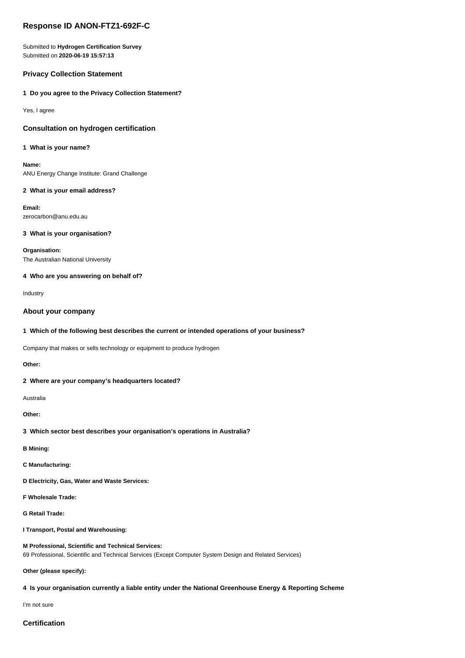# **Response ID ANON-FTZ1-692F-C**

Submitted to **Hydrogen Certification Survey** Submitted on **2020-06-19 15:57:13**

# **Privacy Collection Statement**

### **1 Do you agree to the Privacy Collection Statement?**

Yes, I agree

# **Consultation on hydrogen certification**

#### **1 What is your name?**

**Name:** ANU Energy Change Institute: Grand Challenge

### **2 What is your email address?**

**Email:** zerocarbon@anu.edu.au

# **3 What is your organisation?**

**Organisation:** The Australian National University

### **4 Who are you answering on behalf of?**

Industry

# **About your company**

### **1 Which of the following best describes the current or intended operations of your business?**

Company that makes or sells technology or equipment to produce hydrogen

**Other:**

# **2 Where are your company's headquarters located?**

Australia

**Other:**

# **3 Which sector best describes your organisation's operations in Australia?**

**B Mining:**

**C Manufacturing:**

- **D Electricity, Gas, Water and Waste Services:**
- **F Wholesale Trade:**

**G Retail Trade:**

**I Transport, Postal and Warehousing:**

### **M Professional, Scientific and Technical Services:** 69 Professional, Scientific and Technical Services (Except Computer System Design and Related Services)

#### **Other (please specify):**

# **4 Is your organisation currently a liable entity under the National Greenhouse Energy & Reporting Scheme**

I'm not sure

# **Certification**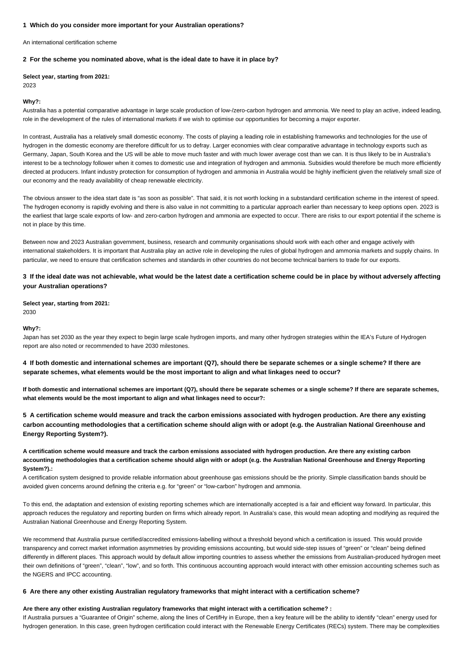#### **1 Which do you consider more important for your Australian operations?**

An international certification scheme

#### **2 For the scheme you nominated above, what is the ideal date to have it in place by?**

**Select year, starting from 2021:**

2023

#### **Why?:**

Australia has a potential comparative advantage in large scale production of low-/zero-carbon hydrogen and ammonia. We need to play an active, indeed leading, role in the development of the rules of international markets if we wish to optimise our opportunities for becoming a major exporter.

In contrast, Australia has a relatively small domestic economy. The costs of playing a leading role in establishing frameworks and technologies for the use of hydrogen in the domestic economy are therefore difficult for us to defray. Larger economies with clear comparative advantage in technology exports such as Germany, Japan, South Korea and the US will be able to move much faster and with much lower average cost than we can. It is thus likely to be in Australia's interest to be a technology follower when it comes to domestic use and integration of hydrogen and ammonia. Subsidies would therefore be much more efficiently directed at producers. Infant industry protection for consumption of hydrogen and ammonia in Australia would be highly inefficient given the relatively small size of our economy and the ready availability of cheap renewable electricity.

The obvious answer to the idea start date is "as soon as possible". That said, it is not worth locking in a substandard certification scheme in the interest of speed. The hydrogen economy is rapidly evolving and there is also value in not committing to a particular approach earlier than necessary to keep options open. 2023 is the earliest that large scale exports of low- and zero-carbon hydrogen and ammonia are expected to occur. There are risks to our export potential if the scheme is not in place by this time.

Between now and 2023 Australian government, business, research and community organisations should work with each other and engage actively with international stakeholders. It is important that Australia play an active role in developing the rules of global hydrogen and ammonia markets and supply chains. In particular, we need to ensure that certification schemes and standards in other countries do not become technical barriers to trade for our exports.

# **3 If the ideal date was not achievable, what would be the latest date a certification scheme could be in place by without adversely affecting your Australian operations?**

**Select year, starting from 2021:** 2030

#### **Why?:**

Japan has set 2030 as the year they expect to begin large scale hydrogen imports, and many other hydrogen strategies within the IEA's Future of Hydrogen report are also noted or recommended to have 2030 milestones.

# **4 If both domestic and international schemes are important (Q7), should there be separate schemes or a single scheme? If there are separate schemes, what elements would be the most important to align and what linkages need to occur?**

**If both domestic and international schemes are important (Q7), should there be separate schemes or a single scheme? If there are separate schemes, what elements would be the most important to align and what linkages need to occur?:**

**5 A certification scheme would measure and track the carbon emissions associated with hydrogen production. Are there any existing carbon accounting methodologies that a certification scheme should align with or adopt (e.g. the Australian National Greenhouse and Energy Reporting System?).**

**A certification scheme would measure and track the carbon emissions associated with hydrogen production. Are there any existing carbon accounting methodologies that a certification scheme should align with or adopt (e.g. the Australian National Greenhouse and Energy Reporting System?).:**

A certification system designed to provide reliable information about greenhouse gas emissions should be the priority. Simple classification bands should be avoided given concerns around defining the criteria e.g. for "green" or "low-carbon" hydrogen and ammonia.

To this end, the adaptation and extension of existing reporting schemes which are internationally accepted is a fair and efficient way forward. In particular, this approach reduces the regulatory and reporting burden on firms which already report. In Australia's case, this would mean adopting and modifying as required the Australian National Greenhouse and Energy Reporting System.

We recommend that Australia pursue certified/accredited emissions-labelling without a threshold beyond which a certification is issued. This would provide transparency and correct market information asymmetries by providing emissions accounting, but would side-step issues of "green" or "clean" being defined differently in different places. This approach would by default allow importing countries to assess whether the emissions from Australian-produced hydrogen meet their own definitions of "green", "clean", "low", and so forth. This continuous accounting approach would interact with other emission accounting schemes such as the NGERS and IPCC accounting.

#### **6 Are there any other existing Australian regulatory frameworks that might interact with a certification scheme?**

### **Are there any other existing Australian regulatory frameworks that might interact with a certification scheme? :**

If Australia pursues a "Guarantee of Origin" scheme, along the lines of CertifHy in Europe, then a key feature will be the ability to identify "clean" energy used for hydrogen generation. In this case, green hydrogen certification could interact with the Renewable Energy Certificates (RECs) system. There may be complexities